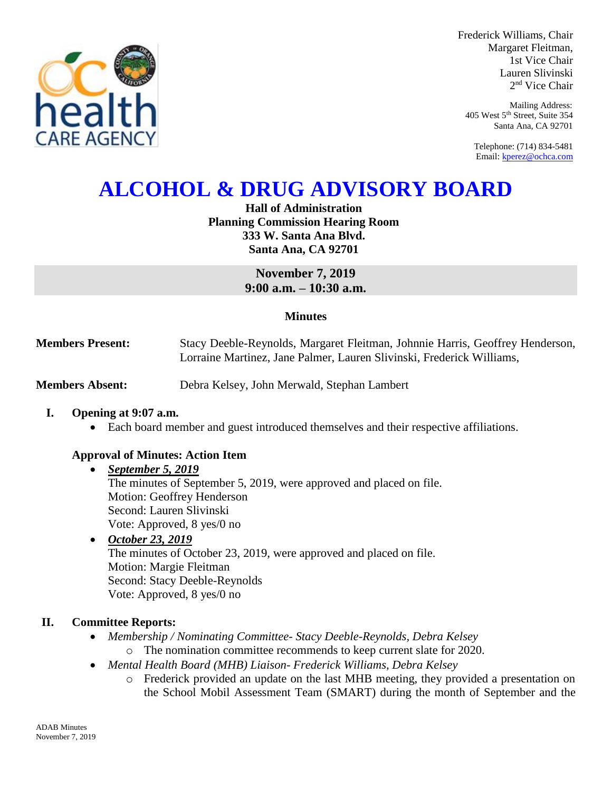

Frederick Williams, Chair Margaret Fleitman, 1st Vice Chair Lauren Slivinski 2 nd Vice Chair

Mailing Address: 405 West 5th Street, Suite 354 Santa Ana, CA 92701

Telephone: (714) 834-5481 Email[: kperez@ochca.com](mailto:kperez@ochca.com)

# **ALCOHOL & DRUG ADVISORY BOARD**

**Hall of Administration Planning Commission Hearing Room 333 W. Santa Ana Blvd. Santa Ana, CA 92701**

> **November 7, 2019 9:00 a.m. – 10:30 a.m.**

#### **Minutes**

**Members Present:** Stacy Deeble-Reynolds, Margaret Fleitman, Johnnie Harris, Geoffrey Henderson, Lorraine Martinez, Jane Palmer, Lauren Slivinski, Frederick Williams,

**Members Absent:** Debra Kelsey, John Merwald, Stephan Lambert

#### **I. Opening at 9:07 a.m.**

Each board member and guest introduced themselves and their respective affiliations.

#### **Approval of Minutes: Action Item**

- *September 5, 2019* The minutes of September 5, 2019, were approved and placed on file. Motion: Geoffrey Henderson Second: Lauren Slivinski Vote: Approved, 8 yes/0 no
- *October 23, 2019* The minutes of October 23, 2019, were approved and placed on file. Motion: Margie Fleitman Second: Stacy Deeble-Reynolds Vote: Approved, 8 yes/0 no

### **II. Committee Reports:**

- *Membership / Nominating Committee- Stacy Deeble-Reynolds, Debra Kelsey* 
	- o The nomination committee recommends to keep current slate for 2020.
- *Mental Health Board (MHB) Liaison- Frederick Williams, Debra Kelsey* 
	- o Frederick provided an update on the last MHB meeting, they provided a presentation on the School Mobil Assessment Team (SMART) during the month of September and the

ADAB Minutes November 7, 2019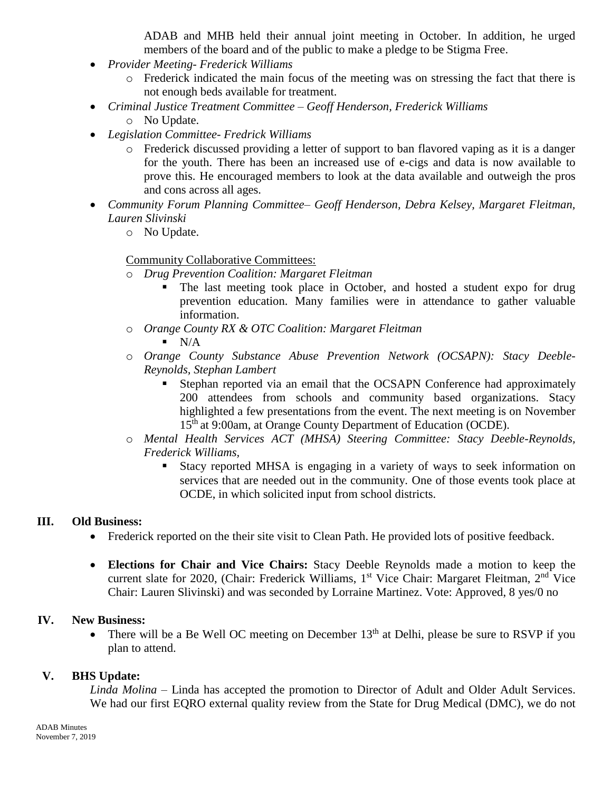ADAB and MHB held their annual joint meeting in October. In addition, he urged members of the board and of the public to make a pledge to be Stigma Free.

- *Provider Meeting- Frederick Williams*
	- o Frederick indicated the main focus of the meeting was on stressing the fact that there is not enough beds available for treatment.
- *Criminal Justice Treatment Committee – Geoff Henderson, Frederick Williams*
	- o No Update.
- *Legislation Committee- Fredrick Williams*
	- o Frederick discussed providing a letter of support to ban flavored vaping as it is a danger for the youth. There has been an increased use of e-cigs and data is now available to prove this. He encouraged members to look at the data available and outweigh the pros and cons across all ages.
- *Community Forum Planning Committee– Geoff Henderson, Debra Kelsey, Margaret Fleitman, Lauren Slivinski*
	- o No Update.

## Community Collaborative Committees:

- o *Drug Prevention Coalition: Margaret Fleitman*
	- The last meeting took place in October, and hosted a student expo for drug prevention education. Many families were in attendance to gather valuable information.
- o *Orange County RX & OTC Coalition: Margaret Fleitman*
	- $\blacksquare$  N/A
- o *Orange County Substance Abuse Prevention Network (OCSAPN): Stacy Deeble-Reynolds, Stephan Lambert* 
	- Stephan reported via an email that the OCSAPN Conference had approximately 200 attendees from schools and community based organizations. Stacy highlighted a few presentations from the event. The next meeting is on November 15<sup>th</sup> at 9:00am, at Orange County Department of Education (OCDE).
- o *Mental Health Services ACT (MHSA) Steering Committee: Stacy Deeble-Reynolds, Frederick Williams,* 
	- Stacy reported MHSA is engaging in a variety of ways to seek information on services that are needed out in the community. One of those events took place at OCDE, in which solicited input from school districts.

#### **III. Old Business:**

- Frederick reported on the their site visit to Clean Path. He provided lots of positive feedback.
- **Elections for Chair and Vice Chairs:** Stacy Deeble Reynolds made a motion to keep the current slate for 2020, (Chair: Frederick Williams, 1<sup>st</sup> Vice Chair: Margaret Fleitman, 2<sup>nd</sup> Vice Chair: Lauren Slivinski) and was seconded by Lorraine Martinez. Vote: Approved, 8 yes/0 no

#### **IV. New Business:**

• There will be a Be Well OC meeting on December  $13<sup>th</sup>$  at Delhi, please be sure to RSVP if you plan to attend.

## **V. BHS Update:**

*Linda Molina –* Linda has accepted the promotion to Director of Adult and Older Adult Services. We had our first EQRO external quality review from the State for Drug Medical (DMC), we do not